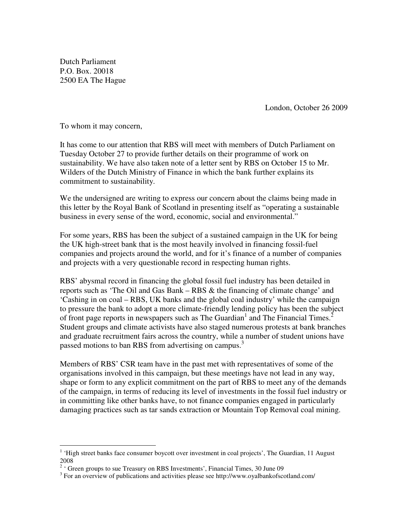Dutch Parliament P.O. Box. 20018 2500 EA The Hague

London, October 26 2009

To whom it may concern,

-

It has come to our attention that RBS will meet with members of Dutch Parliament on Tuesday October 27 to provide further details on their programme of work on sustainability. We have also taken note of a letter sent by RBS on October 15 to Mr. Wilders of the Dutch Ministry of Finance in which the bank further explains its commitment to sustainability.

We the undersigned are writing to express our concern about the claims being made in this letter by the Royal Bank of Scotland in presenting itself as "operating a sustainable business in every sense of the word, economic, social and environmental."

For some years, RBS has been the subject of a sustained campaign in the UK for being the UK high-street bank that is the most heavily involved in financing fossil-fuel companies and projects around the world, and for it's finance of a number of companies and projects with a very questionable record in respecting human rights.

RBS' abysmal record in financing the global fossil fuel industry has been detailed in reports such as 'The Oil and Gas Bank – RBS & the financing of climate change' and 'Cashing in on coal – RBS, UK banks and the global coal industry' while the campaign to pressure the bank to adopt a more climate-friendly lending policy has been the subject of front page reports in newspapers such as The Guardian<sup>1</sup> and The Financial Times.<sup>2</sup> Student groups and climate activists have also staged numerous protests at bank branches and graduate recruitment fairs across the country, while a number of student unions have passed motions to ban RBS from advertising on campus.<sup>3</sup>

Members of RBS' CSR team have in the past met with representatives of some of the organisations involved in this campaign, but these meetings have not lead in any way, shape or form to any explicit commitment on the part of RBS to meet any of the demands of the campaign, in terms of reducing its level of investments in the fossil fuel industry or in committing like other banks have, to not finance companies engaged in particularly damaging practices such as tar sands extraction or Mountain Top Removal coal mining.

<sup>&</sup>lt;sup>1</sup> 'High street banks face consumer boycott over investment in coal projects', The Guardian, 11 August 2008

 $2$  ' Green groups to sue Treasury on RBS Investments', Financial Times, 30 June 09

<sup>&</sup>lt;sup>3</sup> For an overview of publications and activities please see http://www.oyalbankofscotland.com/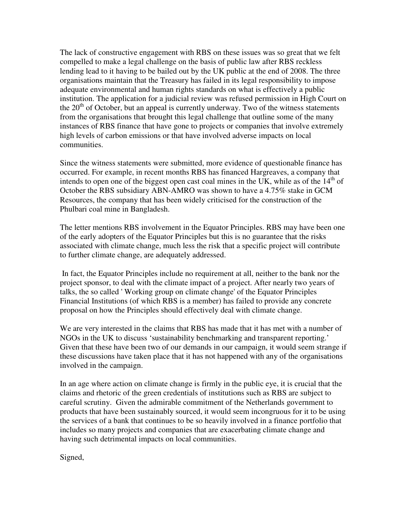The lack of constructive engagement with RBS on these issues was so great that we felt compelled to make a legal challenge on the basis of public law after RBS reckless lending lead to it having to be bailed out by the UK public at the end of 2008. The three organisations maintain that the Treasury has failed in its legal responsibility to impose adequate environmental and human rights standards on what is effectively a public institution. The application for a judicial review was refused permission in High Court on the  $20<sup>th</sup>$  of October, but an appeal is currently underway. Two of the witness statements from the organisations that brought this legal challenge that outline some of the many instances of RBS finance that have gone to projects or companies that involve extremely high levels of carbon emissions or that have involved adverse impacts on local communities.

Since the witness statements were submitted, more evidence of questionable finance has occurred. For example, in recent months RBS has financed Hargreaves, a company that intends to open one of the biggest open cast coal mines in the UK, while as of the  $14<sup>th</sup>$  of October the RBS subsidiary ABN-AMRO was shown to have a 4.75% stake in GCM Resources, the company that has been widely criticised for the construction of the Phulbari coal mine in Bangladesh.

The letter mentions RBS involvement in the Equator Principles. RBS may have been one of the early adopters of the Equator Principles but this is no guarantee that the risks associated with climate change, much less the risk that a specific project will contribute to further climate change, are adequately addressed.

 In fact, the Equator Principles include no requirement at all, neither to the bank nor the project sponsor, to deal with the climate impact of a project. After nearly two years of talks, the so called ' Working group on climate change' of the Equator Principles Financial Institutions (of which RBS is a member) has failed to provide any concrete proposal on how the Principles should effectively deal with climate change.

We are very interested in the claims that RBS has made that it has met with a number of NGOs in the UK to discuss 'sustainability benchmarking and transparent reporting.' Given that these have been two of our demands in our campaign, it would seem strange if these discussions have taken place that it has not happened with any of the organisations involved in the campaign.

In an age where action on climate change is firmly in the public eye, it is crucial that the claims and rhetoric of the green credentials of institutions such as RBS are subject to careful scrutiny. Given the admirable commitment of the Netherlands government to products that have been sustainably sourced, it would seem incongruous for it to be using the services of a bank that continues to be so heavily involved in a finance portfolio that includes so many projects and companies that are exacerbating climate change and having such detrimental impacts on local communities.

Signed,